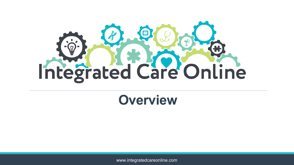

## **Overview**

www.integratedcareonline.com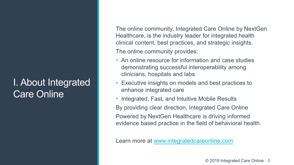## I. About Integrated Care Online

The online community, Integrated Care Online by NextGen Healthcare, is the industry leader for integrated health clinical content, best practices, and strategic insights. The online community provides:

- An online resource for information and case studies demonstrating successful interoperability among clinicians, hospitals and labs
- **Executive insights on models and best practices to** enhance integrated care
- **Integrated, Fast, and Intuitive Mobile Results** By providing clear direction, Integrated Care Online Powered by NextGen Healthcare is driving informed evidence based practice in the field of behavioral health.

Learn more at [www.integratedcareonline.com](http://www.integratedcareonline.com/)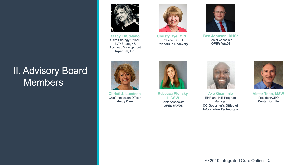## II. Advisory Board **Members**

**Stacy, DiStefano** Chief Strategy Officer, EVP Strategy & Business Development **Inperium, Inc.**



**Christy Dye, MPH,** President/CEO **Partners In Recovery**



**Ben Johnson, DHSc** Senior Associate *OPEN MINDS* 



**Christi J. Lundeen** Chief Innovation Officer **Mercy Care** 



**Rebecca Plonsky, LICSW** Senior Associate *OPEN MINDS* 



**Ako Quammie** EHR and HIE Program Manager **CO Governor's Office of Information Technology** 



**Victor Topo, MSW** President/CEO **Center for Life**